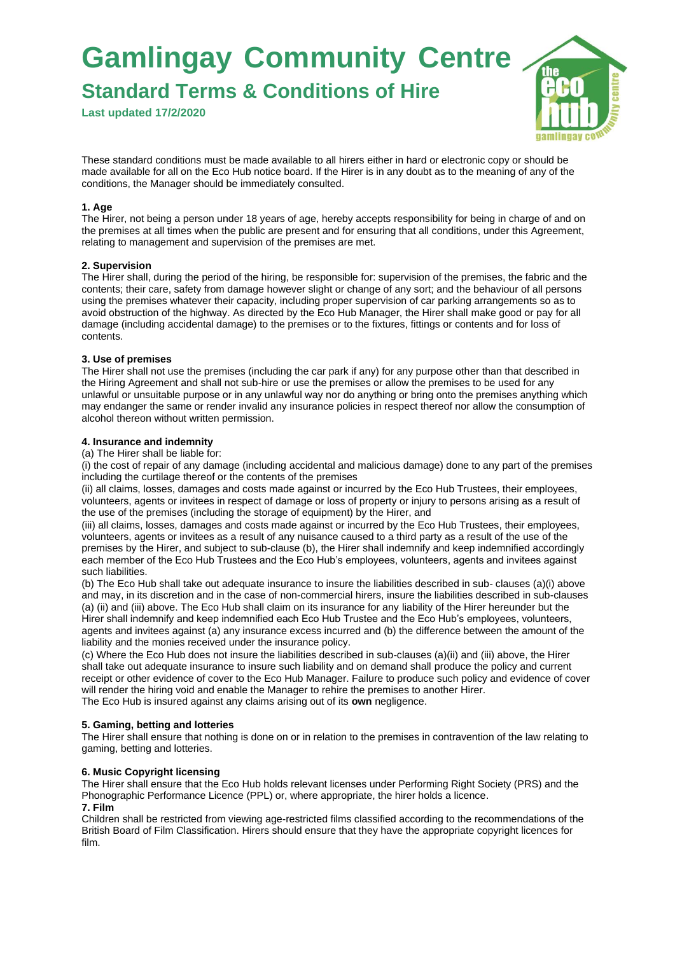**Standard Terms & Conditions of Hire**

**Last updated 17/2/2020**



These standard conditions must be made available to all hirers either in hard or electronic copy or should be made available for all on the Eco Hub notice board. If the Hirer is in any doubt as to the meaning of any of the conditions, the Manager should be immediately consulted.

## **1. Age**

The Hirer, not being a person under 18 years of age, hereby accepts responsibility for being in charge of and on the premises at all times when the public are present and for ensuring that all conditions, under this Agreement, relating to management and supervision of the premises are met.

## **2. Supervision**

The Hirer shall, during the period of the hiring, be responsible for: supervision of the premises, the fabric and the contents; their care, safety from damage however slight or change of any sort; and the behaviour of all persons using the premises whatever their capacity, including proper supervision of car parking arrangements so as to avoid obstruction of the highway. As directed by the Eco Hub Manager, the Hirer shall make good or pay for all damage (including accidental damage) to the premises or to the fixtures, fittings or contents and for loss of contents.

#### **3. Use of premises**

The Hirer shall not use the premises (including the car park if any) for any purpose other than that described in the Hiring Agreement and shall not sub-hire or use the premises or allow the premises to be used for any unlawful or unsuitable purpose or in any unlawful way nor do anything or bring onto the premises anything which may endanger the same or render invalid any insurance policies in respect thereof nor allow the consumption of alcohol thereon without written permission.

#### **4. Insurance and indemnity**

(a) The Hirer shall be liable for:

(i) the cost of repair of any damage (including accidental and malicious damage) done to any part of the premises including the curtilage thereof or the contents of the premises

(ii) all claims, losses, damages and costs made against or incurred by the Eco Hub Trustees, their employees, volunteers, agents or invitees in respect of damage or loss of property or injury to persons arising as a result of the use of the premises (including the storage of equipment) by the Hirer, and

(iii) all claims, losses, damages and costs made against or incurred by the Eco Hub Trustees, their employees, volunteers, agents or invitees as a result of any nuisance caused to a third party as a result of the use of the premises by the Hirer, and subject to sub-clause (b), the Hirer shall indemnify and keep indemnified accordingly each member of the Eco Hub Trustees and the Eco Hub's employees, volunteers, agents and invitees against such liabilities.

(b) The Eco Hub shall take out adequate insurance to insure the liabilities described in sub- clauses (a)(i) above and may, in its discretion and in the case of non-commercial hirers, insure the liabilities described in sub-clauses (a) (ii) and (iii) above. The Eco Hub shall claim on its insurance for any liability of the Hirer hereunder but the Hirer shall indemnify and keep indemnified each Eco Hub Trustee and the Eco Hub's employees, volunteers, agents and invitees against (a) any insurance excess incurred and (b) the difference between the amount of the liability and the monies received under the insurance policy.

(c) Where the Eco Hub does not insure the liabilities described in sub-clauses (a)(ii) and (iii) above, the Hirer shall take out adequate insurance to insure such liability and on demand shall produce the policy and current receipt or other evidence of cover to the Eco Hub Manager. Failure to produce such policy and evidence of cover will render the hiring void and enable the Manager to rehire the premises to another Hirer. The Eco Hub is insured against any claims arising out of its **own** negligence.

## **5. Gaming, betting and lotteries**

The Hirer shall ensure that nothing is done on or in relation to the premises in contravention of the law relating to gaming, betting and lotteries.

## **6. Music Copyright licensing**

The Hirer shall ensure that the Eco Hub holds relevant licenses under Performing Right Society (PRS) and the Phonographic Performance Licence (PPL) or, where appropriate, the hirer holds a licence. **7. Film** 

Children shall be restricted from viewing age-restricted films classified according to the recommendations of the British Board of Film Classification. Hirers should ensure that they have the appropriate copyright licences for film.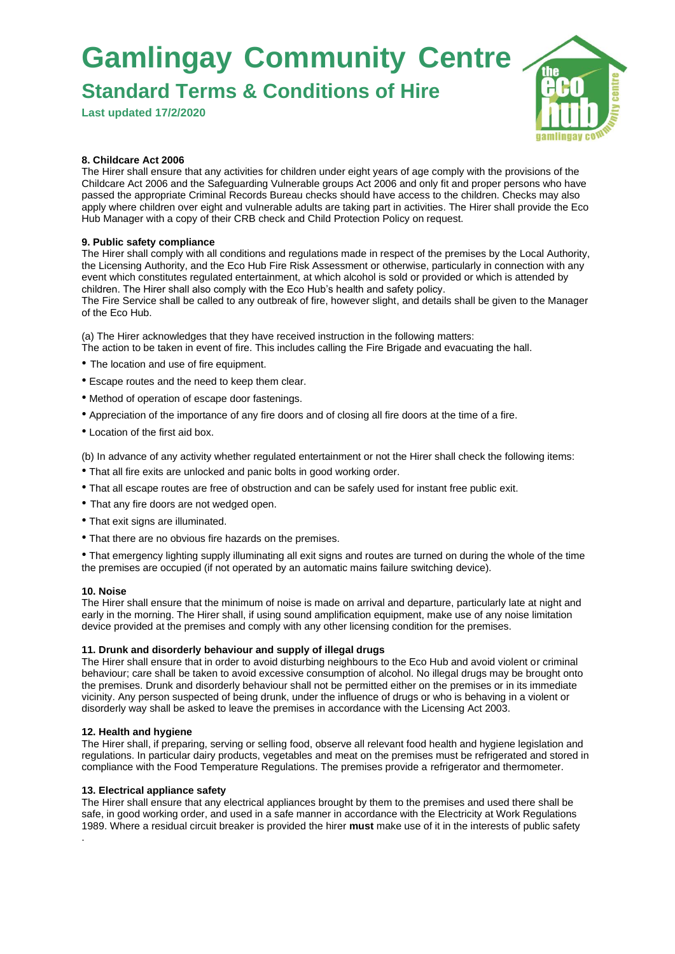**Standard Terms & Conditions of Hire**

**Last updated 17/2/2020**



## **8. Childcare Act 2006**

The Hirer shall ensure that any activities for children under eight years of age comply with the provisions of the Childcare Act 2006 and the Safeguarding Vulnerable groups Act 2006 and only fit and proper persons who have passed the appropriate Criminal Records Bureau checks should have access to the children. Checks may also apply where children over eight and vulnerable adults are taking part in activities. The Hirer shall provide the Eco Hub Manager with a copy of their CRB check and Child Protection Policy on request.

## **9. Public safety compliance**

The Hirer shall comply with all conditions and regulations made in respect of the premises by the Local Authority, the Licensing Authority, and the Eco Hub Fire Risk Assessment or otherwise, particularly in connection with any event which constitutes regulated entertainment, at which alcohol is sold or provided or which is attended by children. The Hirer shall also comply with the Eco Hub's health and safety policy. The Fire Service shall be called to any outbreak of fire, however slight, and details shall be given to the Manager of the Eco Hub.

(a) The Hirer acknowledges that they have received instruction in the following matters: The action to be taken in event of fire. This includes calling the Fire Brigade and evacuating the hall.

- The location and use of fire equipment.
- Escape routes and the need to keep them clear.
- Method of operation of escape door fastenings.
- Appreciation of the importance of any fire doors and of closing all fire doors at the time of a fire.
- Location of the first aid box.

(b) In advance of any activity whether regulated entertainment or not the Hirer shall check the following items:

- That all fire exits are unlocked and panic bolts in good working order.
- That all escape routes are free of obstruction and can be safely used for instant free public exit.
- That any fire doors are not wedged open.
- That exit signs are illuminated.
- That there are no obvious fire hazards on the premises.

• That emergency lighting supply illuminating all exit signs and routes are turned on during the whole of the time the premises are occupied (if not operated by an automatic mains failure switching device).

#### **10. Noise**

The Hirer shall ensure that the minimum of noise is made on arrival and departure, particularly late at night and early in the morning. The Hirer shall, if using sound amplification equipment, make use of any noise limitation device provided at the premises and comply with any other licensing condition for the premises.

#### **11. Drunk and disorderly behaviour and supply of illegal drugs**

The Hirer shall ensure that in order to avoid disturbing neighbours to the Eco Hub and avoid violent or criminal behaviour; care shall be taken to avoid excessive consumption of alcohol. No illegal drugs may be brought onto the premises. Drunk and disorderly behaviour shall not be permitted either on the premises or in its immediate vicinity. Any person suspected of being drunk, under the influence of drugs or who is behaving in a violent or disorderly way shall be asked to leave the premises in accordance with the Licensing Act 2003.

#### **12. Health and hygiene**

The Hirer shall, if preparing, serving or selling food, observe all relevant food health and hygiene legislation and regulations. In particular dairy products, vegetables and meat on the premises must be refrigerated and stored in compliance with the Food Temperature Regulations. The premises provide a refrigerator and thermometer.

#### **13. Electrical appliance safety**

The Hirer shall ensure that any electrical appliances brought by them to the premises and used there shall be safe, in good working order, and used in a safe manner in accordance with the Electricity at Work Regulations 1989. Where a residual circuit breaker is provided the hirer **must** make use of it in the interests of public safety .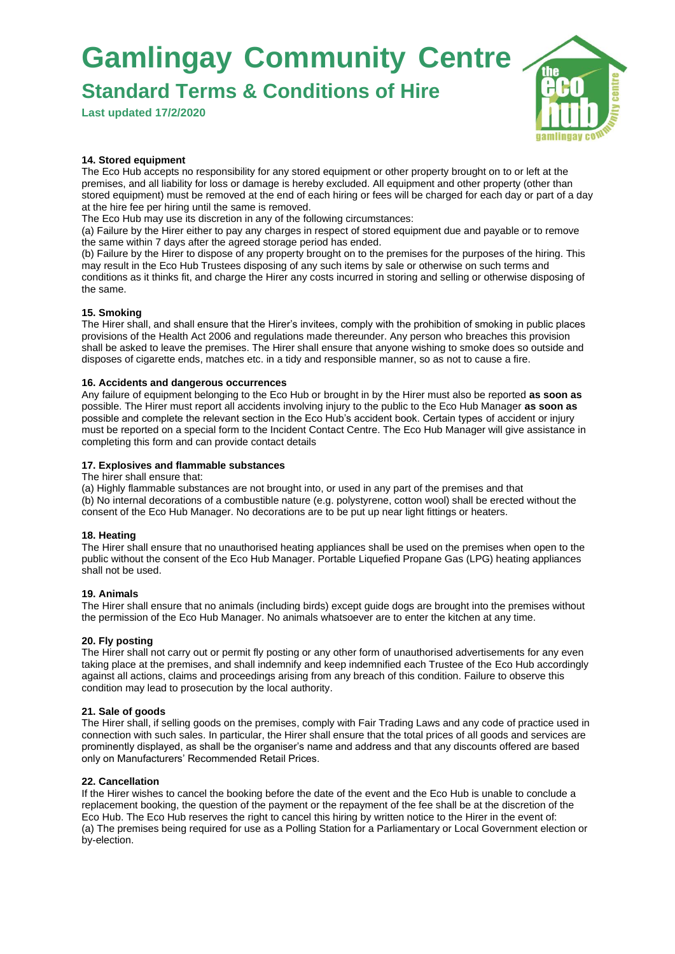**Standard Terms & Conditions of Hire**

**Last updated 17/2/2020**



## **14. Stored equipment**

The Eco Hub accepts no responsibility for any stored equipment or other property brought on to or left at the premises, and all liability for loss or damage is hereby excluded. All equipment and other property (other than stored equipment) must be removed at the end of each hiring or fees will be charged for each day or part of a day at the hire fee per hiring until the same is removed.

The Eco Hub may use its discretion in any of the following circumstances:

(a) Failure by the Hirer either to pay any charges in respect of stored equipment due and payable or to remove the same within 7 days after the agreed storage period has ended.

(b) Failure by the Hirer to dispose of any property brought on to the premises for the purposes of the hiring. This may result in the Eco Hub Trustees disposing of any such items by sale or otherwise on such terms and conditions as it thinks fit, and charge the Hirer any costs incurred in storing and selling or otherwise disposing of the same.

## **15. Smoking**

The Hirer shall, and shall ensure that the Hirer's invitees, comply with the prohibition of smoking in public places provisions of the Health Act 2006 and regulations made thereunder. Any person who breaches this provision shall be asked to leave the premises. The Hirer shall ensure that anyone wishing to smoke does so outside and disposes of cigarette ends, matches etc. in a tidy and responsible manner, so as not to cause a fire.

## **16. Accidents and dangerous occurrences**

Any failure of equipment belonging to the Eco Hub or brought in by the Hirer must also be reported **as soon as**  possible. The Hirer must report all accidents involving injury to the public to the Eco Hub Manager **as soon as**  possible and complete the relevant section in the Eco Hub's accident book. Certain types of accident or injury must be reported on a special form to the Incident Contact Centre. The Eco Hub Manager will give assistance in completing this form and can provide contact details

#### **17. Explosives and flammable substances**

The hirer shall ensure that:

(a) Highly flammable substances are not brought into, or used in any part of the premises and that (b) No internal decorations of a combustible nature (e.g. polystyrene, cotton wool) shall be erected without the consent of the Eco Hub Manager. No decorations are to be put up near light fittings or heaters.

## **18. Heating**

The Hirer shall ensure that no unauthorised heating appliances shall be used on the premises when open to the public without the consent of the Eco Hub Manager. Portable Liquefied Propane Gas (LPG) heating appliances shall not be used.

#### **19. Animals**

The Hirer shall ensure that no animals (including birds) except guide dogs are brought into the premises without the permission of the Eco Hub Manager. No animals whatsoever are to enter the kitchen at any time.

## **20. Fly posting**

The Hirer shall not carry out or permit fly posting or any other form of unauthorised advertisements for any even taking place at the premises, and shall indemnify and keep indemnified each Trustee of the Eco Hub accordingly against all actions, claims and proceedings arising from any breach of this condition. Failure to observe this condition may lead to prosecution by the local authority.

## **21. Sale of goods**

The Hirer shall, if selling goods on the premises, comply with Fair Trading Laws and any code of practice used in connection with such sales. In particular, the Hirer shall ensure that the total prices of all goods and services are prominently displayed, as shall be the organiser's name and address and that any discounts offered are based only on Manufacturers' Recommended Retail Prices.

## **22. Cancellation**

If the Hirer wishes to cancel the booking before the date of the event and the Eco Hub is unable to conclude a replacement booking, the question of the payment or the repayment of the fee shall be at the discretion of the Eco Hub. The Eco Hub reserves the right to cancel this hiring by written notice to the Hirer in the event of: (a) The premises being required for use as a Polling Station for a Parliamentary or Local Government election or by-election.